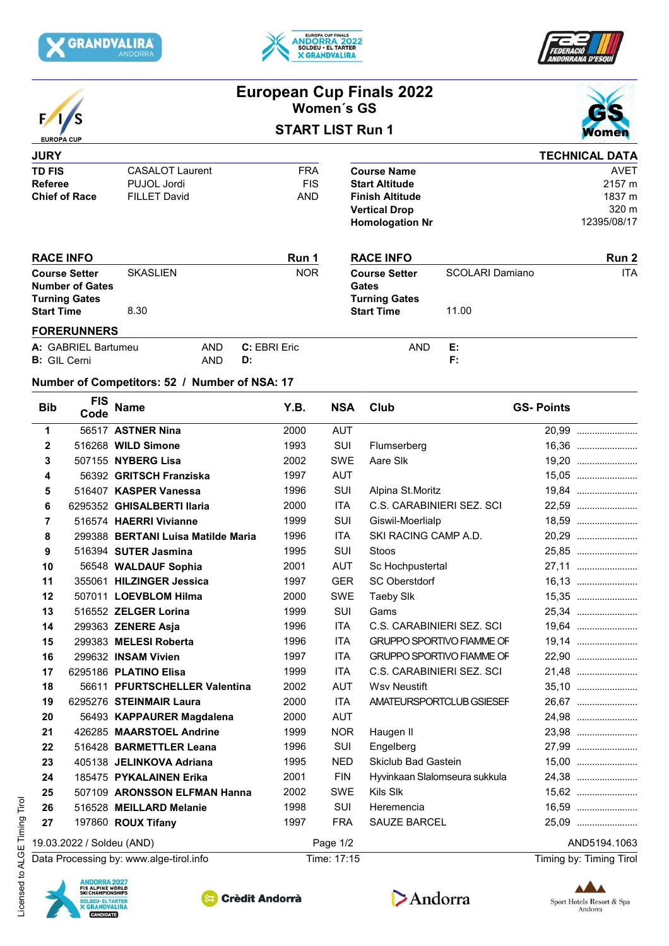





|                                                |                                                              |                                                      |                          | Women's GS           | <b>European Cup Finals 2022</b>             |                                  |                         |
|------------------------------------------------|--------------------------------------------------------------|------------------------------------------------------|--------------------------|----------------------|---------------------------------------------|----------------------------------|-------------------------|
|                                                |                                                              |                                                      | <b>START LIST Run 1</b>  |                      |                                             |                                  |                         |
| <b>EUROPA CUP</b>                              |                                                              |                                                      |                          |                      |                                             |                                  |                         |
| <b>JURY</b>                                    |                                                              |                                                      |                          |                      |                                             |                                  | <b>TECHNICAL DATA</b>   |
| <b>TD FIS</b>                                  |                                                              | <b>CASALOT Laurent</b><br>PUJOL Jordi                | <b>FRA</b><br><b>FIS</b> |                      | <b>Course Name</b><br><b>Start Altitude</b> |                                  | <b>AVET</b><br>2157 m   |
| <b>Referee</b><br><b>Chief of Race</b>         |                                                              | <b>FILLET David</b>                                  | <b>AND</b>               |                      | <b>Finish Altitude</b>                      |                                  | 1837 m                  |
|                                                |                                                              |                                                      |                          |                      | <b>Vertical Drop</b>                        |                                  | 320 m                   |
|                                                |                                                              |                                                      |                          |                      | <b>Homologation Nr</b>                      |                                  | 12395/08/17             |
|                                                | <b>RACE INFO</b>                                             |                                                      | Run 1                    |                      | <b>RACE INFO</b>                            |                                  | Run 2                   |
| <b>Course Setter</b><br><b>Number of Gates</b> |                                                              | <b>SKASLIEN</b>                                      | <b>NOR</b>               |                      | <b>Course Setter</b>                        | SCOLARI Damiano                  | <b>ITA</b>              |
|                                                |                                                              |                                                      |                          | <b>Gates</b>         |                                             |                                  |                         |
|                                                | <b>Turning Gates</b>                                         |                                                      |                          | <b>Turning Gates</b> |                                             |                                  |                         |
| <b>Start Time</b>                              |                                                              | 8.30                                                 |                          |                      | <b>Start Time</b>                           | 11.00                            |                         |
|                                                | <b>FORERUNNERS</b>                                           |                                                      |                          |                      |                                             |                                  |                         |
|                                                | A: GABRIEL Bartumeu<br><b>B:</b> GIL Cerni                   | AND<br><b>AND</b><br>D:                              | C: EBRI Eric             |                      | <b>AND</b>                                  | Е:<br>F:                         |                         |
|                                                |                                                              |                                                      |                          |                      |                                             |                                  |                         |
|                                                |                                                              | Number of Competitors: 52 / Number of NSA: 17        |                          |                      |                                             |                                  |                         |
| <b>Bib</b>                                     | <b>FIS</b><br>Code                                           | <b>Name</b>                                          | Y.B.                     | <b>NSA</b>           | <b>Club</b>                                 |                                  | <b>GS-Points</b>        |
| 1                                              |                                                              | 56517 ASTNER Nina                                    | 2000                     | <b>AUT</b>           |                                             |                                  | 20,99                   |
| $\mathbf{2}$                                   |                                                              | 516268 WILD Simone                                   | 1993                     | SUI                  | Flumserberg                                 |                                  |                         |
| 3                                              |                                                              | 507155 NYBERG Lisa                                   | 2002                     | <b>SWE</b>           | Aare Slk                                    |                                  | 19,20                   |
| 4                                              |                                                              | 56392 GRITSCH Franziska                              | 1997                     | <b>AUT</b>           |                                             |                                  | 15,05                   |
| 5                                              |                                                              | 516407 KASPER Vanessa                                | 1996                     | <b>SUI</b>           | Alpina St.Moritz                            |                                  | 19,84                   |
| 6                                              |                                                              | 6295352 GHISALBERTI Ilaria                           | 2000                     | <b>ITA</b>           | C.S. CARABINIERI SEZ. SCI                   |                                  | 22,59                   |
| 7                                              |                                                              | 516574 HAERRI Vivianne                               | 1999                     | SUI                  | Giswil-Moerlialp                            |                                  | 18,59                   |
| 8                                              |                                                              | 299388 BERTANI Luisa Matilde Maria                   | 1996                     | <b>ITA</b>           | SKI RACING CAMP A.D.                        |                                  | 20,29                   |
| 9                                              |                                                              | 516394 SUTER Jasmina                                 | 1995                     | <b>SUI</b>           | Stoos                                       |                                  | 25,85                   |
| 10                                             |                                                              | 56548 WALDAUF Sophia                                 | 2001                     | <b>AUT</b>           | Sc Hochpustertal                            |                                  | 27.11                   |
| 11                                             |                                                              | 355061 HILZINGER Jessica                             | 1997                     | <b>GER</b>           | <b>SC Oberstdorf</b>                        |                                  | 16,13                   |
| 12                                             |                                                              | 507011 LOEVBLOM Hilma                                | 2000                     | <b>SWE</b>           | <b>Taeby SIk</b>                            |                                  | 15,35                   |
| 13                                             |                                                              | 516552 ZELGER Lorina                                 | 1999                     | <b>SUI</b>           | Gams                                        |                                  | 25,34                   |
| 14                                             |                                                              | 299363 ZENERE Asja                                   | 1996                     | <b>ITA</b>           | C.S. CARABINIERI SEZ. SCI                   |                                  | 19,64                   |
| 15                                             |                                                              | 299383 MELESI Roberta                                | 1996                     | ITA                  |                                             | <b>GRUPPO SPORTIVO FIAMME OF</b> | 19,14                   |
| 16                                             |                                                              | 299632 INSAM Vivien                                  | 1997                     | ITA                  |                                             | <b>GRUPPO SPORTIVO FIAMME OF</b> | 22,90                   |
| 17                                             |                                                              | 6295186 PLATINO Elisa                                | 1999                     | <b>ITA</b>           | C.S. CARABINIERI SEZ. SCI                   |                                  | 21,48                   |
| 18                                             |                                                              | 56611 PFURTSCHELLER Valentina                        | 2002                     | <b>AUT</b><br>ITA    | <b>Wsv Neustift</b>                         |                                  | 35,10<br>26,67          |
| 19<br>20                                       |                                                              | 6295276 STEINMAIR Laura<br>56493 KAPPAURER Magdalena | 2000<br>2000             | <b>AUT</b>           |                                             | AMATEURSPORTCLUB GSIESEF         | 24,98                   |
| 21                                             |                                                              | 426285 MAARSTOEL Andrine                             | 1999                     | <b>NOR</b>           | Haugen II                                   |                                  | 23,98                   |
| 22                                             |                                                              | 516428 BARMETTLER Leana                              | 1996                     | SUI                  | Engelberg                                   |                                  | 27,99                   |
| 23                                             |                                                              | 405138 JELINKOVA Adriana                             | 1995                     | <b>NED</b>           | Skiclub Bad Gastein                         |                                  | 15,00                   |
| 24                                             |                                                              | 185475 PYKALAINEN Erika                              | 2001                     | <b>FIN</b>           |                                             | Hyvinkaan Slalomseura sukkula    | 24,38                   |
| 25                                             |                                                              | 507109 ARONSSON ELFMAN Hanna                         | 2002                     | SWE                  | Kils Slk                                    |                                  | 15,62                   |
| 26                                             |                                                              | 516528 MEILLARD Melanie                              | 1998                     | SUI                  | Heremencia                                  |                                  | 16,59                   |
| 27                                             |                                                              | 197860 ROUX Tifany                                   | 1997                     | <b>FRA</b>           | SAUZE BARCEL                                |                                  | 25,09                   |
|                                                | 19.03.2022 / Soldeu (AND)                                    |                                                      |                          | Page 1/2             |                                             |                                  | AND5194.1063            |
|                                                |                                                              | Data Processing by: www.alge-tirol.info              |                          | Time: 17:15          |                                             |                                  | Timing by: Timing Tirol |
|                                                |                                                              |                                                      |                          |                      |                                             |                                  |                         |
|                                                | <b>ANDORRA 2027</b><br>FIS ALPINE WORLD<br>SKI CHAMPIONSHIPS |                                                      |                          |                      |                                             |                                  |                         |